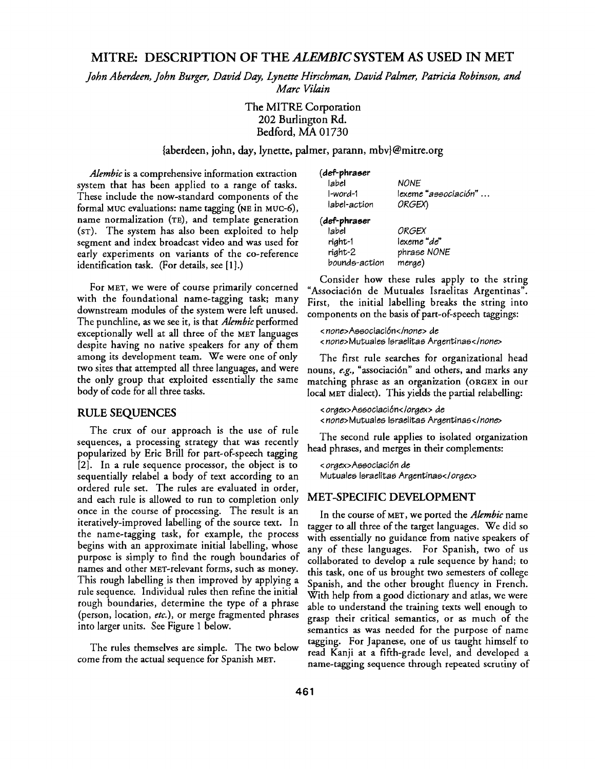# **MITRE: DESCRIPTION OF THE** *ALEMBIC SYSTEM* **AS USED IN MET**

*John Aberdeen, John Burger, David Day, Lynette Hirschman, David Palmer, Patricia Robinson, and Marc Vilain* 

# The MITRE Corporation 202 Burlington Rd. Bedford, MA 01730

### {aberdeen, john, day, lynette, palmer, parann, mbv}@mitre.org

*Alembic* is a comprehensive information extraction system that has been applied to a range of tasks. These include the now-standard components of the formal MOC evaluations: name tagging (NE in MUC-6), name normalization (TE), and template generation (ST). The system has also been exploited to help segment and index broadcast video and was used for early experiments on variants of the co-reference identification task. (For details, see [1].)

For MET, we were of course primarily concerned with the foundational name-tagging task; many downstream modules of the system were left unused. The punchline, as we see it, is that *Alembic* performed exceptionally well at all three of the MET languages despite having no native speakers for any of them among its development team. We were one of only two sites that attempted all three languages, and were the only group that exploited essentially the same body of code for all three tasks.

#### RULE SEQUENCES

The crux of our approach is the use of rule sequences, a processing strategy that was recently popularized by Eric Brill for part-of-speech tagging [2]. In a rule sequence processor, the object is to sequentially relabel a body of text according to an ordered rule set. The rules are evaluated in order, and each rule is allowed to run to completion only once in the course of processing. The result is an iteratively-improved labelling of the source text. In the name-tagging task, for example, the process begins with an approximate initial labelling, whose purpose is simply to find the rough boundaries of names and other MET-relevant forms, such as money. This rough labelling is then improved by applying a rule sequence. Individual rules then refine the initial rough boundaries, determine the type of a phrase (person, location, *etc.),* or merge fragmented phrases into larger units. See Figure 1 below.

The rules themselves are simple. The two below come from the actual sequence for Spanish MET.

| (def-phraser  |                      |
|---------------|----------------------|
| label         | <b>NONE</b>          |
| I-word-1      | lexeme "associación" |
| label-action  | ORGEX)               |
| (def-phraser  |                      |
| label         | ORGEX                |
| right-1       | lexeme "de"          |
| right-2       | phrase NONE          |
| bounds-action | merge)               |
|               |                      |

Consider how these rules apply to the string "Associaci6n de Mutuales Israelitas Argentinas". First, the initial labelling breaks the string into components on the basis of part-of-speech taggings:

*< none>Associaci6n</none>* de *< none>Mutuales* Israelitas *Argentinas</none>* 

The first rule searches for organizational head nouns, *e.g.,* "associaci6n" and others, and marks any matching phrase as an organization (ORGEX in our local MET dialect). This yields the partial relabelling:

*< orgex>Associaci6n<lorgex>* de *< none>Mutuales* Israelitas *Argentinas</none>* 

The second rule applies to isolated organization head phrases, and merges in their complements:

*< orgex>Associaci6n* de Mutuales Israelitas *Argentinas</orgex>* 

## MET-SPECIFIC DEVELOPMENT

In the course of MET, we ported the *Alembic* name tagger to all three of the target languages. We did so with essentially no guidance from native speakers of any of these languages. For Spanish, two of us collaborated to develop a rule sequence by hand; to this task, one of us brought two semesters of college Spanish, and the other brought fluency in French. With help from a good dictionary and atlas, we were able to understand the training texts well enough to grasp their critical semantics, or as much of the semantics as was needed for the purpose of name tagging. For Japanese, one of us taught himself to read Kanji at a fifth-grade level, and developed a name-tagging sequence through repeated scrutiny of